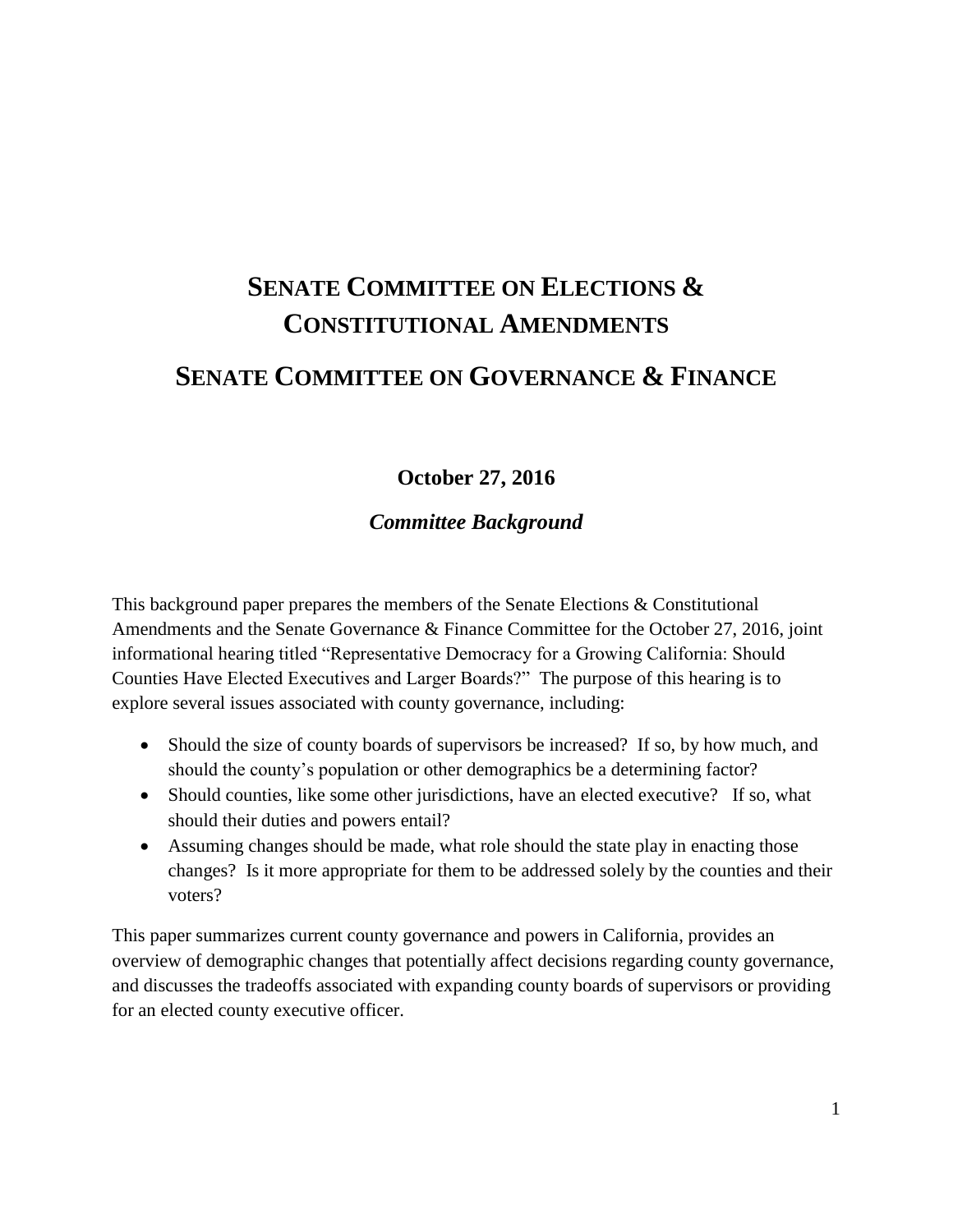# **SENATE COMMITTEE ON ELECTIONS & CONSTITUTIONAL AMENDMENTS SENATE COMMITTEE ON GOVERNANCE & FINANCE**

# **October 27, 2016**

*Committee Background*

This background paper prepares the members of the Senate Elections & Constitutional Amendments and the Senate Governance & Finance Committee for the October 27, 2016, joint informational hearing titled "Representative Democracy for a Growing California: Should Counties Have Elected Executives and Larger Boards?" The purpose of this hearing is to explore several issues associated with county governance, including:

- Should the size of county boards of supervisors be increased? If so, by how much, and should the county's population or other demographics be a determining factor?
- Should counties, like some other jurisdictions, have an elected executive? If so, what should their duties and powers entail?
- Assuming changes should be made, what role should the state play in enacting those changes? Is it more appropriate for them to be addressed solely by the counties and their voters?

This paper summarizes current county governance and powers in California, provides an overview of demographic changes that potentially affect decisions regarding county governance, and discusses the tradeoffs associated with expanding county boards of supervisors or providing for an elected county executive officer.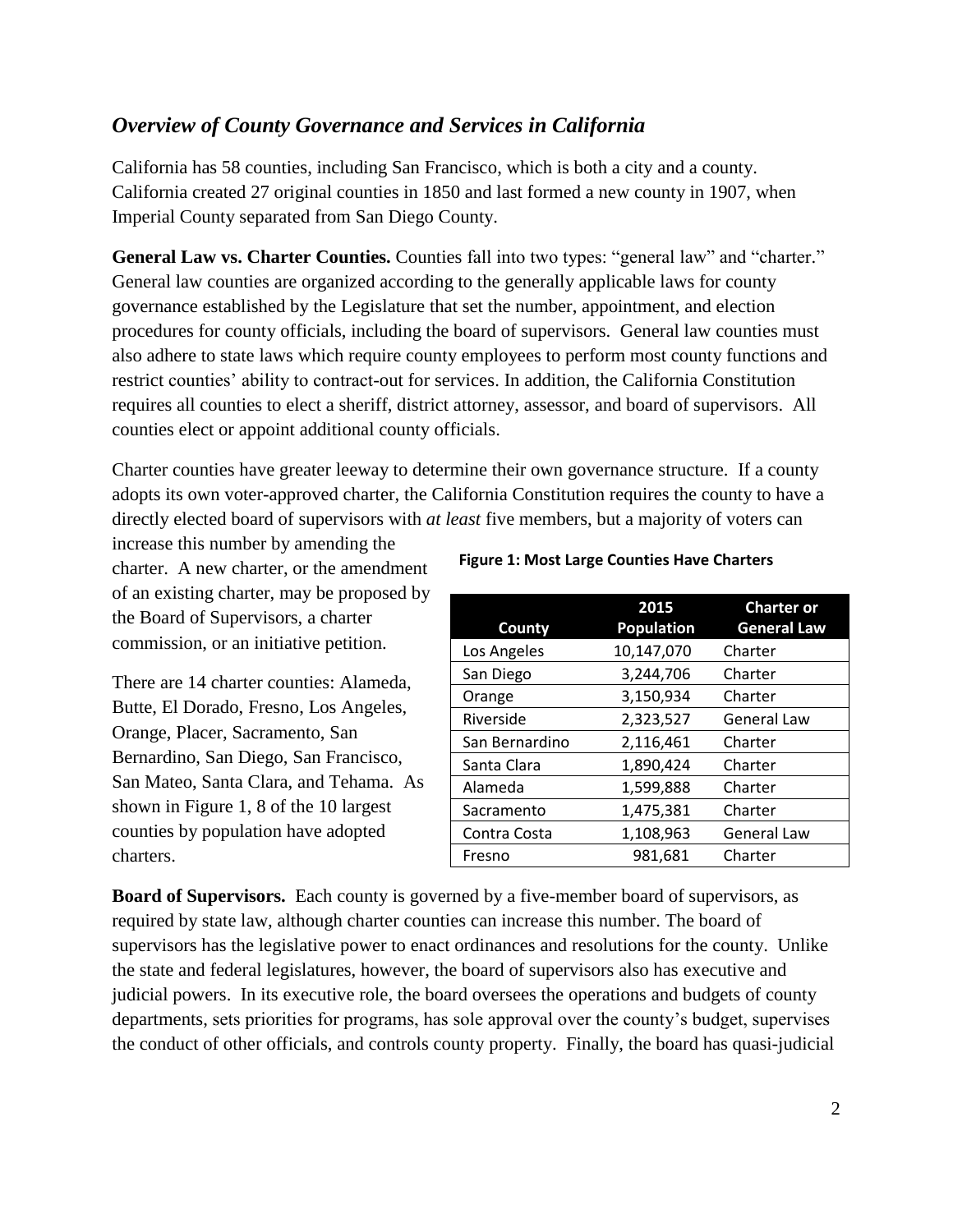## *Overview of County Governance and Services in California*

California has 58 counties, including San Francisco, which is both a city and a county. California created 27 original counties in 1850 and last formed a new county in 1907, when Imperial County separated from San Diego County.

General Law vs. Charter Counties. Counties fall into two types: "general law" and "charter." General law counties are organized according to the generally applicable laws for county governance established by the Legislature that set the number, appointment, and election procedures for county officials, including the board of supervisors. General law counties must also adhere to state laws which require county employees to perform most county functions and restrict counties' ability to contract-out for services. In addition, the California Constitution requires all counties to elect a sheriff, district attorney, assessor, and board of supervisors. All counties elect or appoint additional county officials.

Charter counties have greater leeway to determine their own governance structure. If a county adopts its own voter-approved charter, the California Constitution requires the county to have a directly elected board of supervisors with *at least* five members, but a majority of voters can

increase this number by amending the charter. A new charter, or the amendment of an existing charter, may be proposed by the Board of Supervisors, a charter commission, or an initiative petition.

There are 14 charter counties: Alameda, Butte, El Dorado, Fresno, Los Angeles, Orange, Placer, Sacramento, San Bernardino, San Diego, San Francisco, San Mateo, Santa Clara, and Tehama. As shown in Figure 1, 8 of the 10 largest counties by population have adopted charters.

#### **Figure 1: Most Large Counties Have Charters**

| <b>County</b>  | 2015<br><b>Population</b> | <b>Charter or</b><br><b>General Law</b> |
|----------------|---------------------------|-----------------------------------------|
| Los Angeles    | 10,147,070                | Charter                                 |
| San Diego      | 3,244,706                 | Charter                                 |
| Orange         | 3,150,934                 | Charter                                 |
| Riverside      | 2,323,527                 | <b>General Law</b>                      |
| San Bernardino | 2,116,461                 | Charter                                 |
| Santa Clara    | 1,890,424                 | Charter                                 |
| Alameda        | 1,599,888                 | Charter                                 |
| Sacramento     | 1,475,381                 | Charter                                 |
| Contra Costa   | 1,108,963                 | <b>General Law</b>                      |
| Fresno         | 981,681                   | Charter                                 |

**Board of Supervisors.** Each county is governed by a five-member board of supervisors, as required by state law, although charter counties can increase this number. The board of supervisors has the legislative power to enact ordinances and resolutions for the county. Unlike the state and federal legislatures, however, the board of supervisors also has executive and judicial powers. In its executive role, the board oversees the operations and budgets of county departments, sets priorities for programs, has sole approval over the county's budget, supervises the conduct of other officials, and controls county property. Finally, the board has quasi-judicial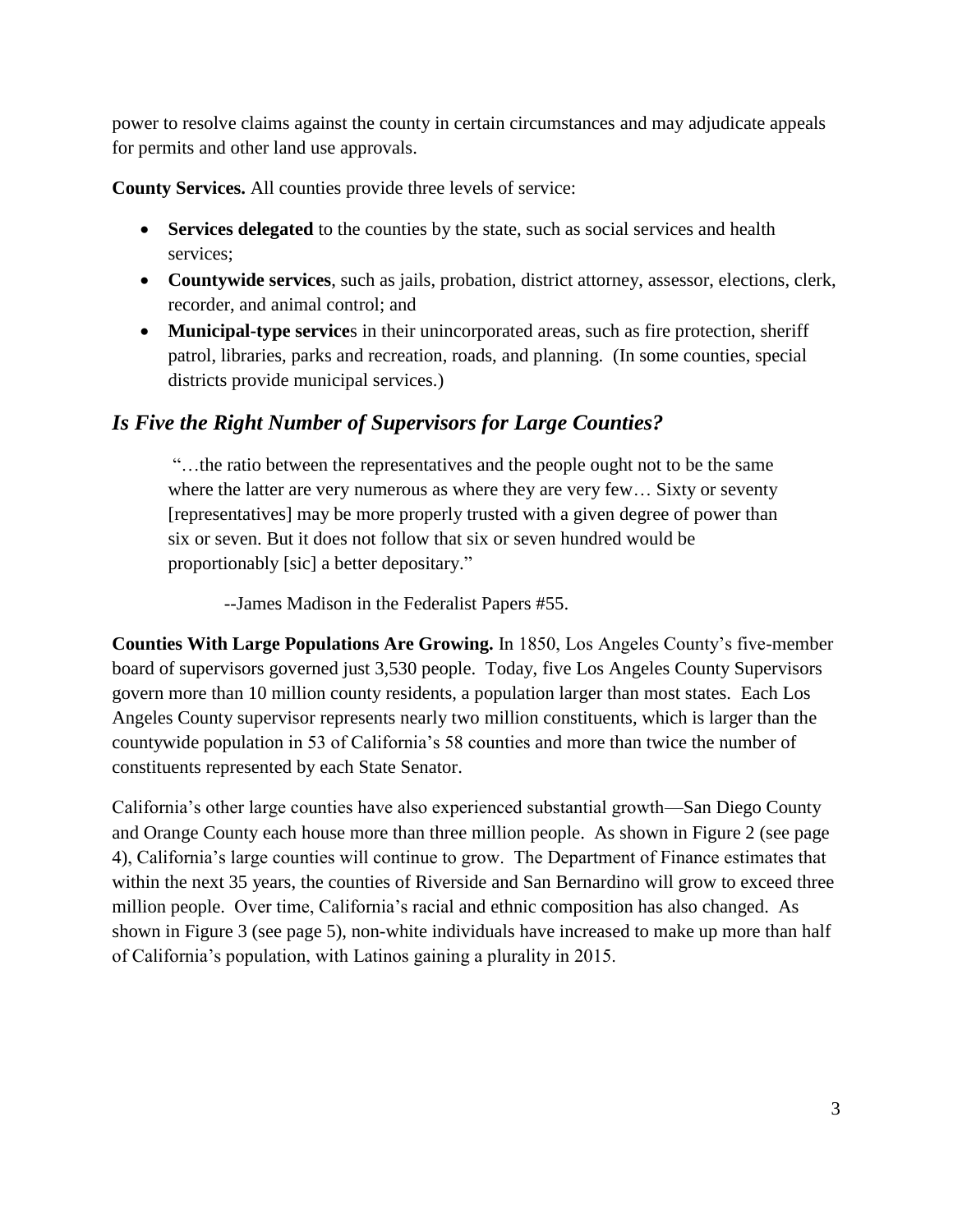power to resolve claims against the county in certain circumstances and may adjudicate appeals for permits and other land use approvals.

**County Services.** All counties provide three levels of service:

- **Services delegated** to the counties by the state, such as social services and health services;
- **Countywide services**, such as jails, probation, district attorney, assessor, elections, clerk, recorder, and animal control; and
- **Municipal-type service**s in their unincorporated areas, such as fire protection, sheriff patrol, libraries, parks and recreation, roads, and planning. (In some counties, special districts provide municipal services.)

# *Is Five the Right Number of Supervisors for Large Counties?*

"…the ratio between the representatives and the people ought not to be the same where the latter are very numerous as where they are very few... Sixty or seventy [representatives] may be more properly trusted with a given degree of power than six or seven. But it does not follow that six or seven hundred would be proportionably [sic] a better depositary."

--James Madison in the Federalist Papers #55.

**Counties With Large Populations Are Growing.** In 1850, Los Angeles County's five-member board of supervisors governed just 3,530 people. Today, five Los Angeles County Supervisors govern more than 10 million county residents, a population larger than most states. Each Los Angeles County supervisor represents nearly two million constituents, which is larger than the countywide population in 53 of California's 58 counties and more than twice the number of constituents represented by each State Senator.

California's other large counties have also experienced substantial growth—San Diego County and Orange County each house more than three million people. As shown in Figure 2 (see page 4), California's large counties will continue to grow. The Department of Finance estimates that within the next 35 years, the counties of Riverside and San Bernardino will grow to exceed three million people. Over time, California's racial and ethnic composition has also changed. As shown in Figure 3 (see page 5), non-white individuals have increased to make up more than half of California's population, with Latinos gaining a plurality in 2015.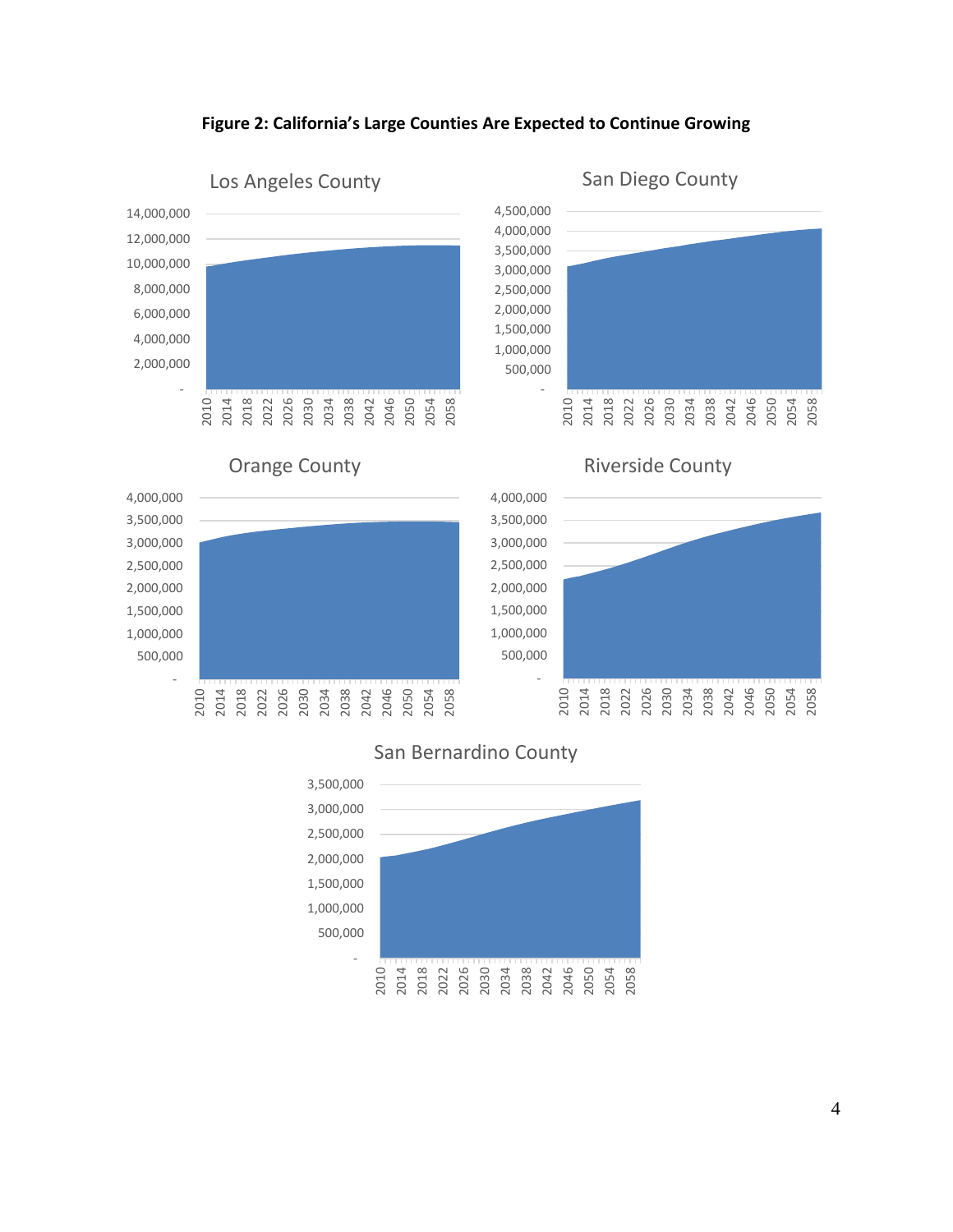#### **Figure 2: California's Large Counties Are Expected to Continue Growing**



#### San Bernardino County



San Diego County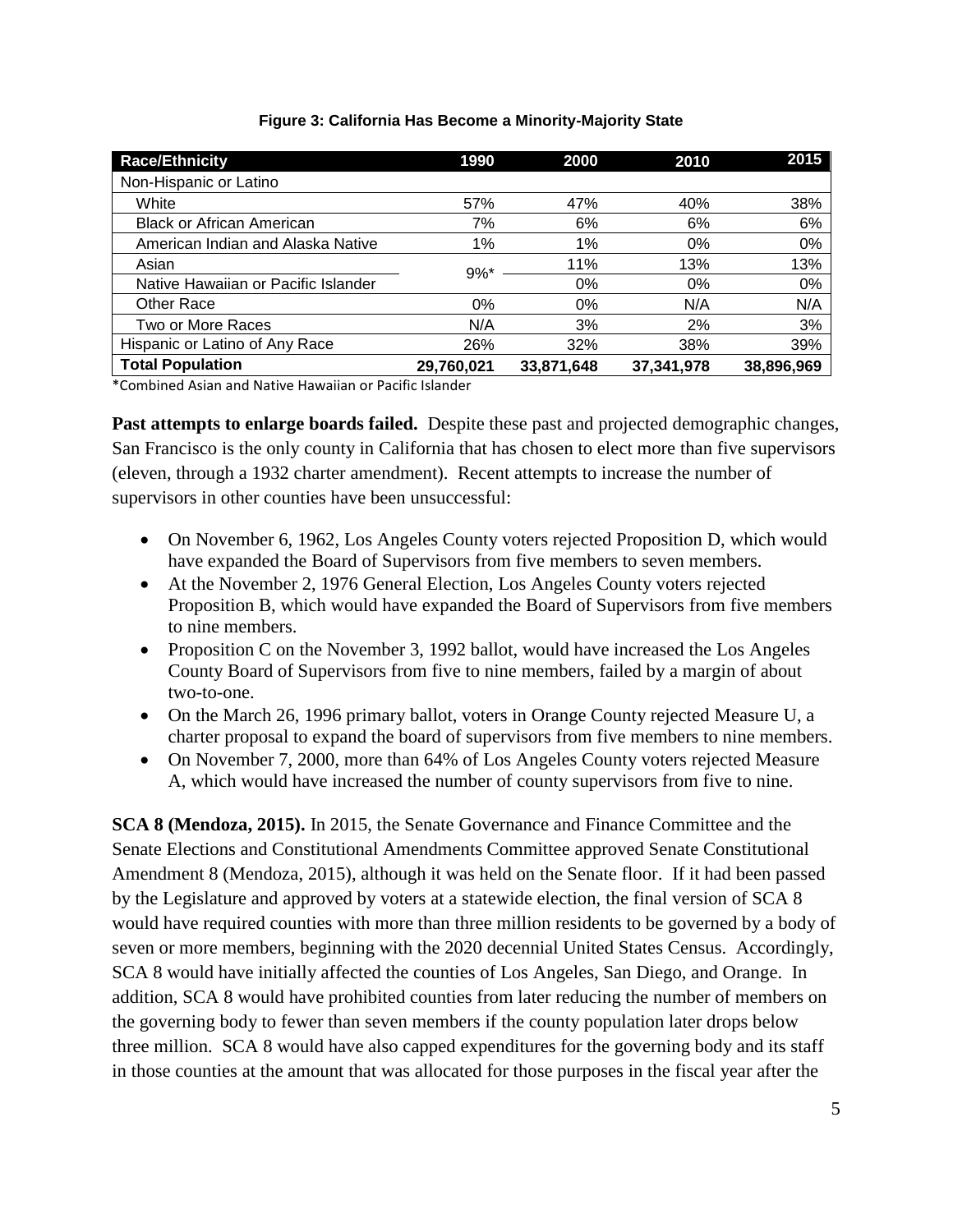| <b>Race/Ethnicity</b>               | 1990       | 2000       | 2010       | 2015       |
|-------------------------------------|------------|------------|------------|------------|
| Non-Hispanic or Latino              |            |            |            |            |
| White                               | 57%        | 47%        | 40%        | 38%        |
| <b>Black or African American</b>    | 7%         | 6%         | 6%         | 6%         |
| American Indian and Alaska Native   | 1%         | 1%         | 0%         | 0%         |
| Asian                               | $9\%$ *    | 11%        | 13%        | 13%        |
| Native Hawaiian or Pacific Islander |            | 0%         | $0\%$      | 0%         |
| Other Race                          | 0%         | 0%         | N/A        | N/A        |
| Two or More Races                   | N/A        | 3%         | 2%         | 3%         |
| Hispanic or Latino of Any Race      | 26%        | 32%        | 38%        | 39%        |
| <b>Total Population</b>             | 29,760,021 | 33,871,648 | 37,341,978 | 38,896,969 |

#### **Figure 3: California Has Become a Minority-Majority State**

\*Combined Asian and Native Hawaiian or Pacific Islander

**Past attempts to enlarge boards failed.** Despite these past and projected demographic changes, San Francisco is the only county in California that has chosen to elect more than five supervisors (eleven, through a 1932 charter amendment). Recent attempts to increase the number of supervisors in other counties have been unsuccessful:

- On November 6, 1962, Los Angeles County voters rejected Proposition D, which would have expanded the Board of Supervisors from five members to seven members.
- At the November 2, 1976 General Election, Los Angeles County voters rejected Proposition B, which would have expanded the Board of Supervisors from five members to nine members.
- Proposition C on the November 3, 1992 ballot, would have increased the Los Angeles County Board of Supervisors from five to nine members, failed by a margin of about two-to-one.
- On the March 26, 1996 primary ballot, voters in Orange County rejected Measure U, a charter proposal to expand the board of supervisors from five members to nine members.
- On November 7, 2000, more than 64% of Los Angeles County voters rejected Measure A, which would have increased the number of county supervisors from five to nine.

**SCA 8 (Mendoza, 2015).** In 2015, the Senate Governance and Finance Committee and the Senate Elections and Constitutional Amendments Committee approved Senate Constitutional Amendment 8 (Mendoza, 2015), although it was held on the Senate floor. If it had been passed by the Legislature and approved by voters at a statewide election, the final version of SCA 8 would have required counties with more than three million residents to be governed by a body of seven or more members, beginning with the 2020 decennial United States Census. Accordingly, SCA 8 would have initially affected the counties of Los Angeles, San Diego, and Orange. In addition, SCA 8 would have prohibited counties from later reducing the number of members on the governing body to fewer than seven members if the county population later drops below three million. SCA 8 would have also capped expenditures for the governing body and its staff in those counties at the amount that was allocated for those purposes in the fiscal year after the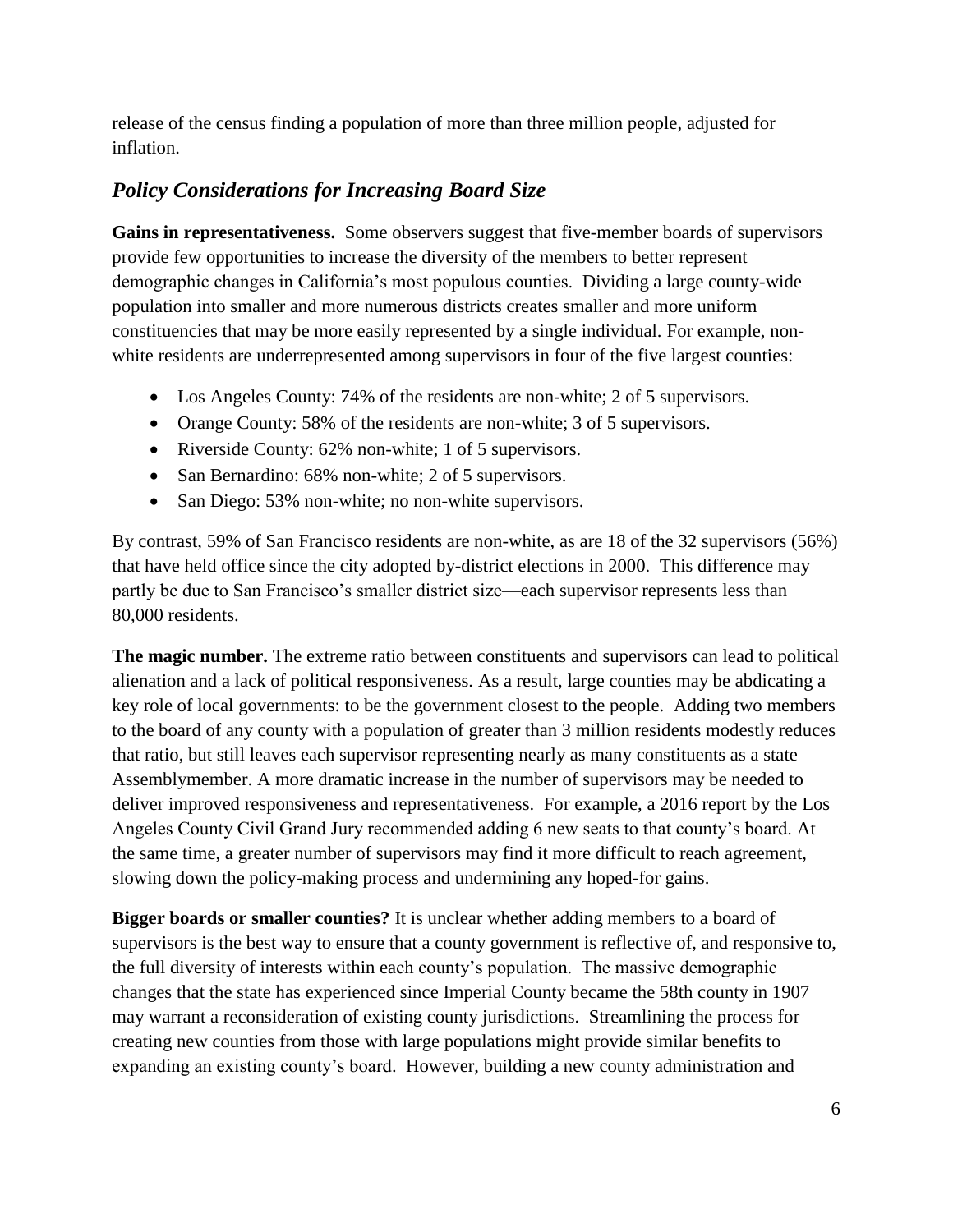release of the census finding a population of more than three million people, adjusted for inflation.

## *Policy Considerations for Increasing Board Size*

**Gains in representativeness.** Some observers suggest that five-member boards of supervisors provide few opportunities to increase the diversity of the members to better represent demographic changes in California's most populous counties. Dividing a large county-wide population into smaller and more numerous districts creates smaller and more uniform constituencies that may be more easily represented by a single individual. For example, nonwhite residents are underrepresented among supervisors in four of the five largest counties:

- Los Angeles County: 74% of the residents are non-white; 2 of 5 supervisors.
- Orange County: 58% of the residents are non-white; 3 of 5 supervisors.
- Riverside County: 62% non-white; 1 of 5 supervisors.
- San Bernardino: 68% non-white; 2 of 5 supervisors.
- San Diego: 53% non-white; no non-white supervisors.

By contrast, 59% of San Francisco residents are non-white, as are 18 of the 32 supervisors (56%) that have held office since the city adopted by-district elections in 2000. This difference may partly be due to San Francisco's smaller district size—each supervisor represents less than 80,000 residents.

**The magic number.** The extreme ratio between constituents and supervisors can lead to political alienation and a lack of political responsiveness. As a result, large counties may be abdicating a key role of local governments: to be the government closest to the people. Adding two members to the board of any county with a population of greater than 3 million residents modestly reduces that ratio, but still leaves each supervisor representing nearly as many constituents as a state Assemblymember. A more dramatic increase in the number of supervisors may be needed to deliver improved responsiveness and representativeness. For example, a 2016 report by the Los Angeles County Civil Grand Jury recommended adding 6 new seats to that county's board. At the same time, a greater number of supervisors may find it more difficult to reach agreement, slowing down the policy-making process and undermining any hoped-for gains.

**Bigger boards or smaller counties?** It is unclear whether adding members to a board of supervisors is the best way to ensure that a county government is reflective of, and responsive to, the full diversity of interests within each county's population. The massive demographic changes that the state has experienced since Imperial County became the 58th county in 1907 may warrant a reconsideration of existing county jurisdictions. Streamlining the process for creating new counties from those with large populations might provide similar benefits to expanding an existing county's board. However, building a new county administration and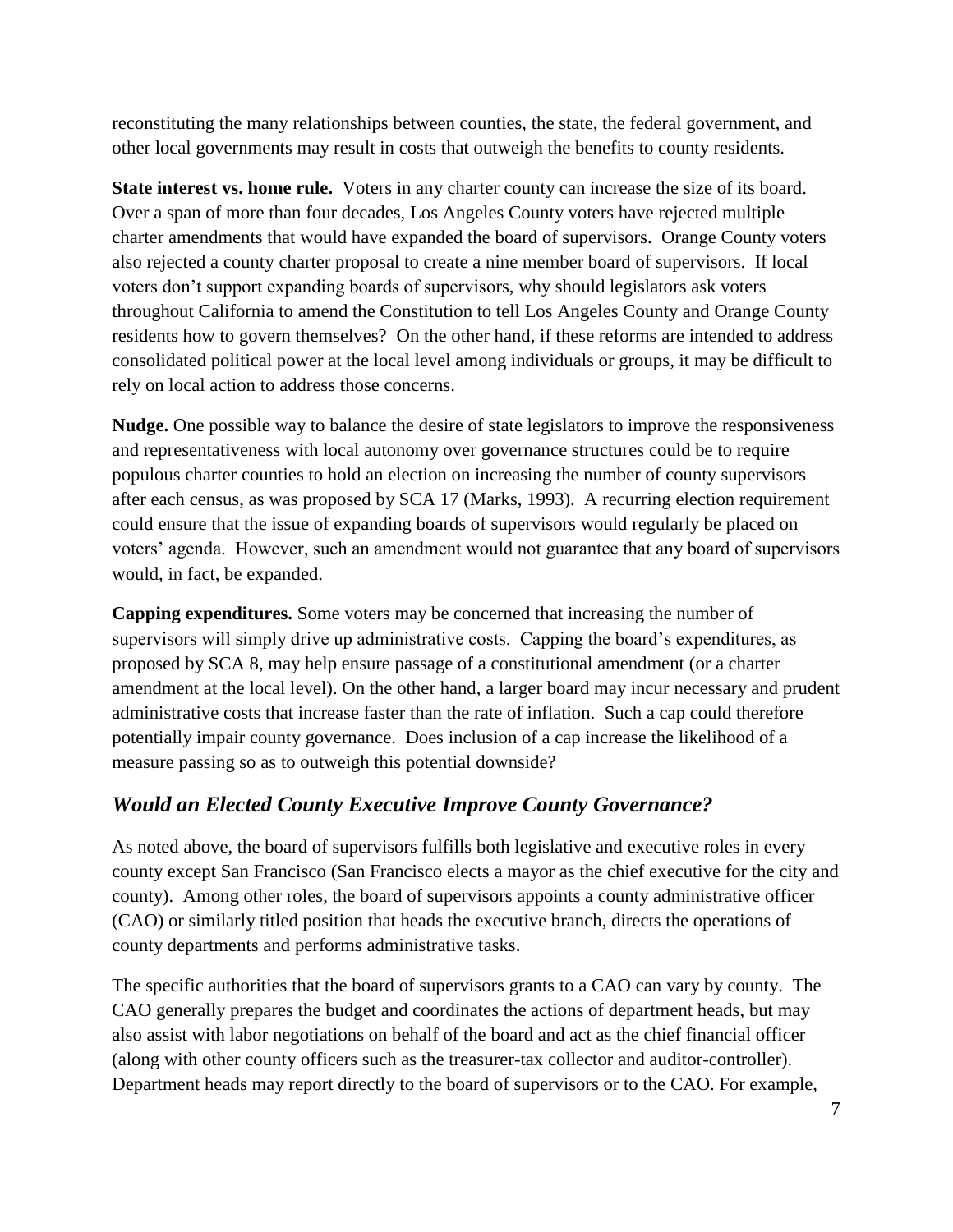reconstituting the many relationships between counties, the state, the federal government, and other local governments may result in costs that outweigh the benefits to county residents.

**State interest vs. home rule.** Voters in any charter county can increase the size of its board. Over a span of more than four decades, Los Angeles County voters have rejected multiple charter amendments that would have expanded the board of supervisors. Orange County voters also rejected a county charter proposal to create a nine member board of supervisors. If local voters don't support expanding boards of supervisors, why should legislators ask voters throughout California to amend the Constitution to tell Los Angeles County and Orange County residents how to govern themselves? On the other hand, if these reforms are intended to address consolidated political power at the local level among individuals or groups, it may be difficult to rely on local action to address those concerns.

**Nudge.** One possible way to balance the desire of state legislators to improve the responsiveness and representativeness with local autonomy over governance structures could be to require populous charter counties to hold an election on increasing the number of county supervisors after each census, as was proposed by SCA 17 (Marks, 1993). A recurring election requirement could ensure that the issue of expanding boards of supervisors would regularly be placed on voters' agenda. However, such an amendment would not guarantee that any board of supervisors would, in fact, be expanded.

**Capping expenditures.** Some voters may be concerned that increasing the number of supervisors will simply drive up administrative costs. Capping the board's expenditures, as proposed by SCA 8, may help ensure passage of a constitutional amendment (or a charter amendment at the local level). On the other hand, a larger board may incur necessary and prudent administrative costs that increase faster than the rate of inflation. Such a cap could therefore potentially impair county governance. Does inclusion of a cap increase the likelihood of a measure passing so as to outweigh this potential downside?

## *Would an Elected County Executive Improve County Governance?*

As noted above, the board of supervisors fulfills both legislative and executive roles in every county except San Francisco (San Francisco elects a mayor as the chief executive for the city and county). Among other roles, the board of supervisors appoints a county administrative officer (CAO) or similarly titled position that heads the executive branch, directs the operations of county departments and performs administrative tasks.

The specific authorities that the board of supervisors grants to a CAO can vary by county. The CAO generally prepares the budget and coordinates the actions of department heads, but may also assist with labor negotiations on behalf of the board and act as the chief financial officer (along with other county officers such as the treasurer-tax collector and auditor-controller). Department heads may report directly to the board of supervisors or to the CAO. For example,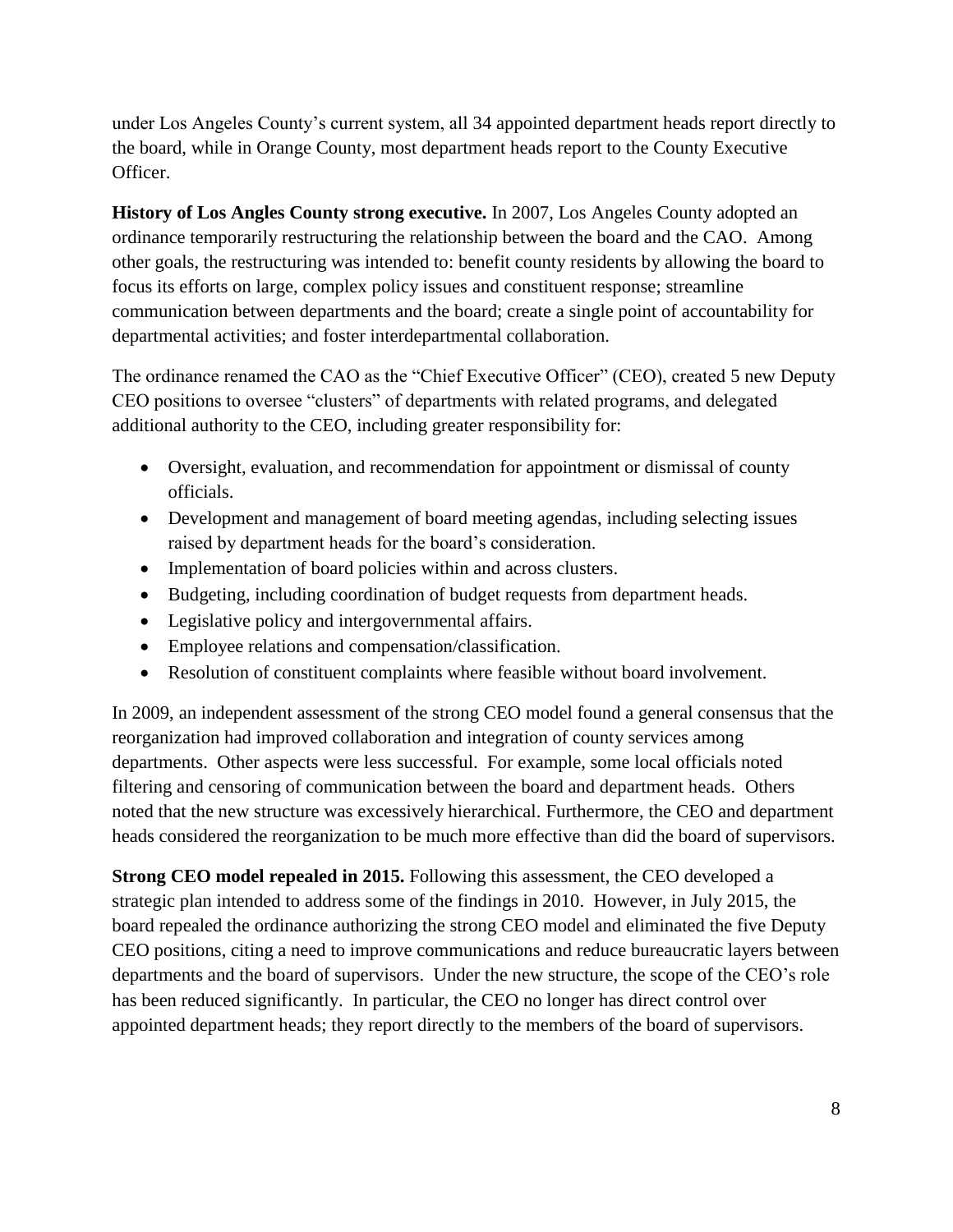under Los Angeles County's current system, all 34 appointed department heads report directly to the board, while in Orange County, most department heads report to the County Executive Officer.

**History of Los Angles County strong executive.** In 2007, Los Angeles County adopted an ordinance temporarily restructuring the relationship between the board and the CAO. Among other goals, the restructuring was intended to: benefit county residents by allowing the board to focus its efforts on large, complex policy issues and constituent response; streamline communication between departments and the board; create a single point of accountability for departmental activities; and foster interdepartmental collaboration.

The ordinance renamed the CAO as the "Chief Executive Officer" (CEO), created 5 new Deputy CEO positions to oversee "clusters" of departments with related programs, and delegated additional authority to the CEO, including greater responsibility for:

- Oversight, evaluation, and recommendation for appointment or dismissal of county officials.
- Development and management of board meeting agendas, including selecting issues raised by department heads for the board's consideration.
- Implementation of board policies within and across clusters.
- Budgeting, including coordination of budget requests from department heads.
- Legislative policy and intergovernmental affairs.
- Employee relations and compensation/classification.
- Resolution of constituent complaints where feasible without board involvement.

In 2009, an independent assessment of the strong CEO model found a general consensus that the reorganization had improved collaboration and integration of county services among departments. Other aspects were less successful. For example, some local officials noted filtering and censoring of communication between the board and department heads. Others noted that the new structure was excessively hierarchical. Furthermore, the CEO and department heads considered the reorganization to be much more effective than did the board of supervisors.

**Strong CEO model repealed in 2015.** Following this assessment, the CEO developed a strategic plan intended to address some of the findings in 2010. However, in July 2015, the board repealed the ordinance authorizing the strong CEO model and eliminated the five Deputy CEO positions, citing a need to improve communications and reduce bureaucratic layers between departments and the board of supervisors. Under the new structure, the scope of the CEO's role has been reduced significantly. In particular, the CEO no longer has direct control over appointed department heads; they report directly to the members of the board of supervisors.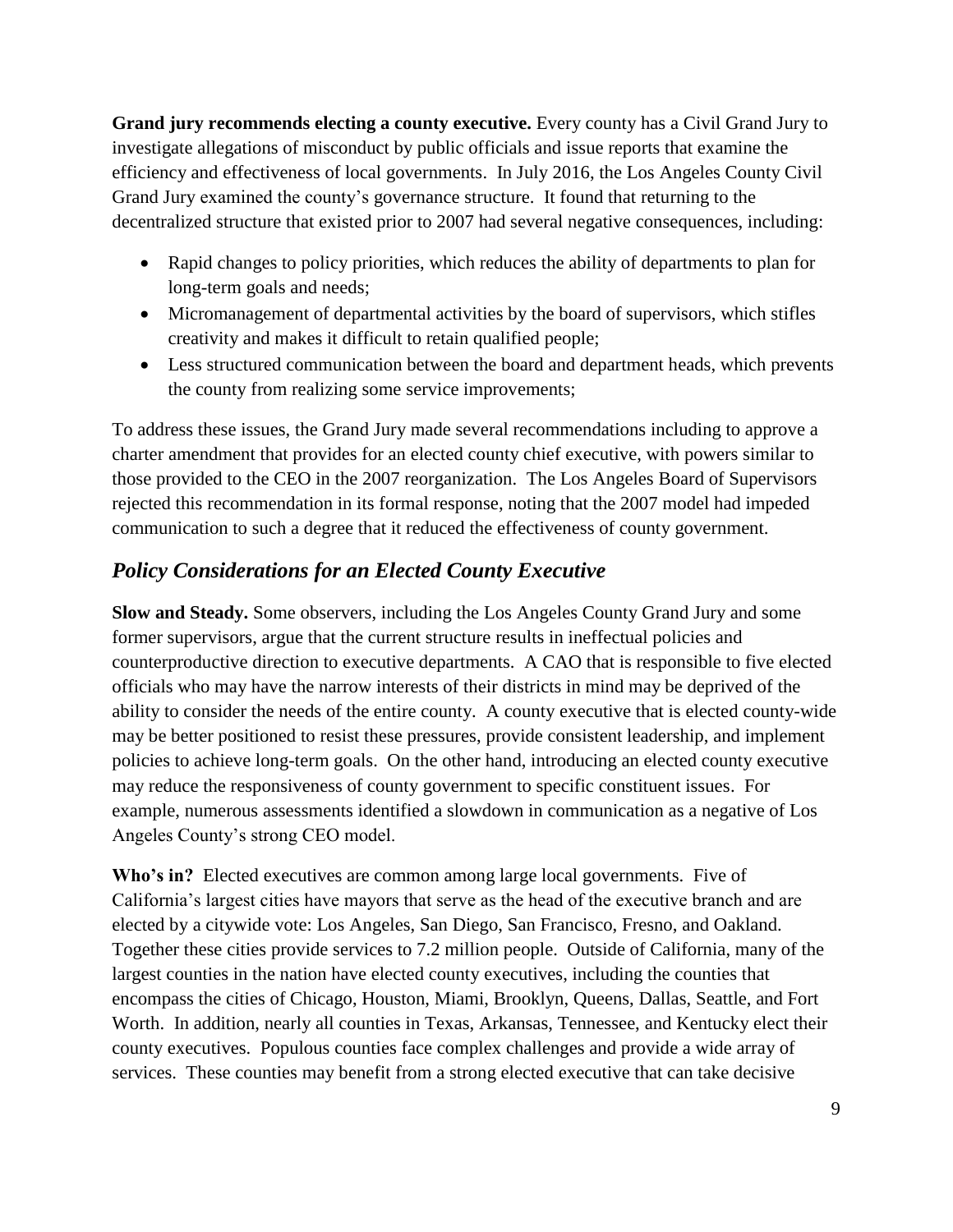**Grand jury recommends electing a county executive.** Every county has a Civil Grand Jury to investigate allegations of misconduct by public officials and issue reports that examine the efficiency and effectiveness of local governments. In July 2016, the Los Angeles County Civil Grand Jury examined the county's governance structure. It found that returning to the decentralized structure that existed prior to 2007 had several negative consequences, including:

- Rapid changes to policy priorities, which reduces the ability of departments to plan for long-term goals and needs;
- Micromanagement of departmental activities by the board of supervisors, which stifles creativity and makes it difficult to retain qualified people;
- Less structured communication between the board and department heads, which prevents the county from realizing some service improvements;

To address these issues, the Grand Jury made several recommendations including to approve a charter amendment that provides for an elected county chief executive, with powers similar to those provided to the CEO in the 2007 reorganization. The Los Angeles Board of Supervisors rejected this recommendation in its formal response, noting that the 2007 model had impeded communication to such a degree that it reduced the effectiveness of county government.

# *Policy Considerations for an Elected County Executive*

**Slow and Steady.** Some observers, including the Los Angeles County Grand Jury and some former supervisors, argue that the current structure results in ineffectual policies and counterproductive direction to executive departments. A CAO that is responsible to five elected officials who may have the narrow interests of their districts in mind may be deprived of the ability to consider the needs of the entire county. A county executive that is elected county-wide may be better positioned to resist these pressures, provide consistent leadership, and implement policies to achieve long-term goals. On the other hand, introducing an elected county executive may reduce the responsiveness of county government to specific constituent issues. For example, numerous assessments identified a slowdown in communication as a negative of Los Angeles County's strong CEO model.

**Who's in?** Elected executives are common among large local governments. Five of California's largest cities have mayors that serve as the head of the executive branch and are elected by a citywide vote: Los Angeles, San Diego, San Francisco, Fresno, and Oakland. Together these cities provide services to 7.2 million people. Outside of California, many of the largest counties in the nation have elected county executives, including the counties that encompass the cities of Chicago, Houston, Miami, Brooklyn, Queens, Dallas, Seattle, and Fort Worth. In addition, nearly all counties in Texas, Arkansas, Tennessee, and Kentucky elect their county executives. Populous counties face complex challenges and provide a wide array of services. These counties may benefit from a strong elected executive that can take decisive